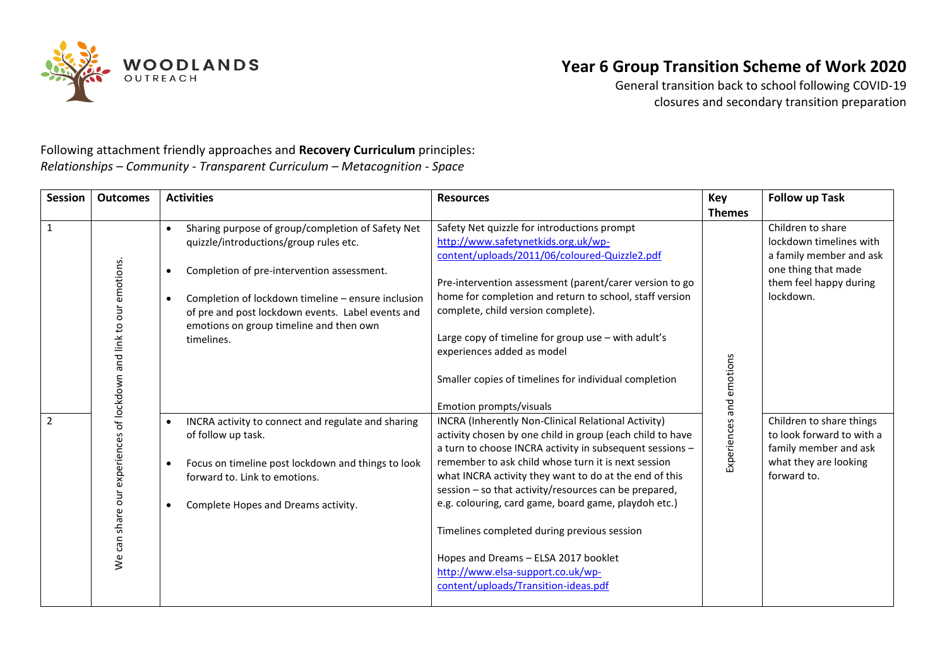

General transition back to school following COVID-19 closures and secondary transition preparation

Following attachment friendly approaches and **Recovery Curriculum** principles: *Relationships – Community - Transparent Curriculum – Metacognition - Space* 

| <b>Session</b> | <b>Outcomes</b>                                                    | <b>Activities</b>                                                                                                                                                                                                                                                                                                                                    | <b>Resources</b>                                                                                                                                                                                                                                                                                                                                                                                                                                                                                                                                                                   | <b>Key</b>               | <b>Follow up Task</b>                                                                                                                 |
|----------------|--------------------------------------------------------------------|------------------------------------------------------------------------------------------------------------------------------------------------------------------------------------------------------------------------------------------------------------------------------------------------------------------------------------------------------|------------------------------------------------------------------------------------------------------------------------------------------------------------------------------------------------------------------------------------------------------------------------------------------------------------------------------------------------------------------------------------------------------------------------------------------------------------------------------------------------------------------------------------------------------------------------------------|--------------------------|---------------------------------------------------------------------------------------------------------------------------------------|
|                |                                                                    |                                                                                                                                                                                                                                                                                                                                                      |                                                                                                                                                                                                                                                                                                                                                                                                                                                                                                                                                                                    | <b>Themes</b>            |                                                                                                                                       |
| $\mathbf 1$    |                                                                    | Sharing purpose of group/completion of Safety Net<br>$\bullet$<br>quizzle/introductions/group rules etc.<br>Completion of pre-intervention assessment.<br>$\bullet$<br>Completion of lockdown timeline - ensure inclusion<br>$\bullet$<br>of pre and post lockdown events. Label events and<br>emotions on group timeline and then own<br>timelines. | Safety Net quizzle for introductions prompt<br>http://www.safetynetkids.org.uk/wp-<br>content/uploads/2011/06/coloured-Quizzle2.pdf<br>Pre-intervention assessment (parent/carer version to go<br>home for completion and return to school, staff version<br>complete, child version complete).<br>Large copy of timeline for group use - with adult's<br>experiences added as model<br>Smaller copies of timelines for individual completion<br>Emotion prompts/visuals                                                                                                           |                          | Children to share<br>lockdown timelines with<br>a family member and ask<br>one thing that made<br>them feel happy during<br>lockdown. |
| $\overline{2}$ | We can share our experiences of lockdown and link to our emotions. | INCRA activity to connect and regulate and sharing<br>$\bullet$<br>of follow up task.<br>Focus on timeline post lockdown and things to look<br>forward to. Link to emotions.<br>Complete Hopes and Dreams activity.<br>$\bullet$                                                                                                                     | INCRA (Inherently Non-Clinical Relational Activity)<br>activity chosen by one child in group (each child to have<br>a turn to choose INCRA activity in subsequent sessions -<br>remember to ask child whose turn it is next session<br>what INCRA activity they want to do at the end of this<br>session - so that activity/resources can be prepared,<br>e.g. colouring, card game, board game, playdoh etc.)<br>Timelines completed during previous session<br>Hopes and Dreams - ELSA 2017 booklet<br>http://www.elsa-support.co.uk/wp-<br>content/uploads/Transition-ideas.pdf | Experiences and emotions | Children to share things<br>to look forward to with a<br>family member and ask<br>what they are looking<br>forward to.                |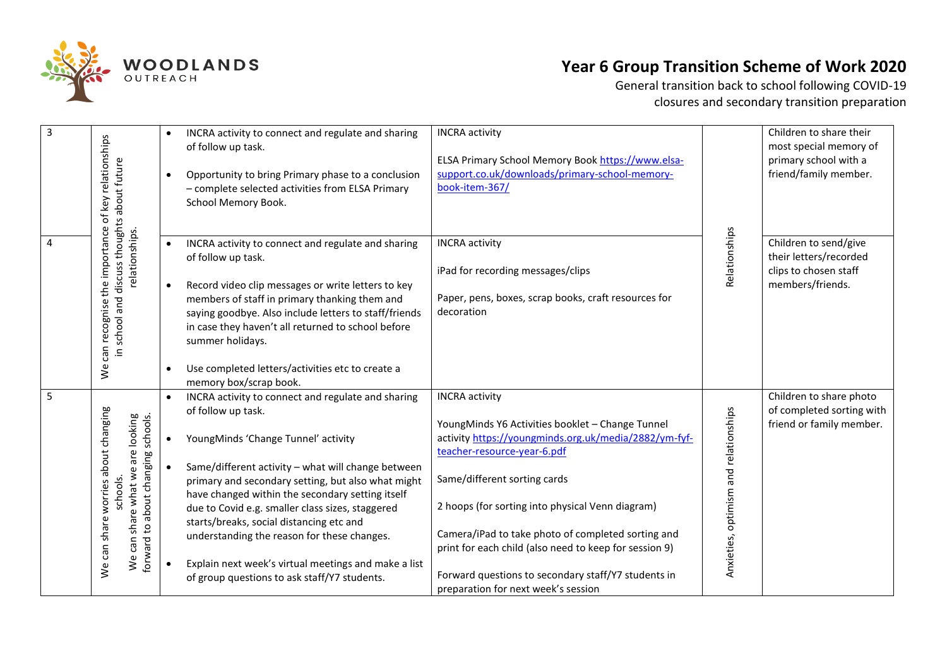

| $\overline{\mathbf{3}}$ | can recognise the importance of key relationships<br>in school and discuss thoughts about future<br>relationships.<br>$\mathsf{y}_\mathsf{e}$           | $\bullet$<br>$\bullet$ | INCRA activity to connect and regulate and sharing<br>of follow up task.<br>Opportunity to bring Primary phase to a conclusion<br>- complete selected activities from ELSA Primary<br>School Memory Book.                                                                                                                                                                                                                                                                                                                              | <b>INCRA</b> activity<br>ELSA Primary School Memory Book https://www.elsa-<br>support.co.uk/downloads/primary-school-memory-<br>book-item-367/                                                                                                                                                                                                                                                                                                                      | Relationships                         | Children to share their<br>most special memory of<br>primary school with a<br>friend/family member. |
|-------------------------|---------------------------------------------------------------------------------------------------------------------------------------------------------|------------------------|----------------------------------------------------------------------------------------------------------------------------------------------------------------------------------------------------------------------------------------------------------------------------------------------------------------------------------------------------------------------------------------------------------------------------------------------------------------------------------------------------------------------------------------|---------------------------------------------------------------------------------------------------------------------------------------------------------------------------------------------------------------------------------------------------------------------------------------------------------------------------------------------------------------------------------------------------------------------------------------------------------------------|---------------------------------------|-----------------------------------------------------------------------------------------------------|
| $\overline{4}$          |                                                                                                                                                         | $\bullet$<br>$\bullet$ | INCRA activity to connect and regulate and sharing<br>of follow up task.<br>Record video clip messages or write letters to key<br>members of staff in primary thanking them and<br>saying goodbye. Also include letters to staff/friends<br>in case they haven't all returned to school before<br>summer holidays.<br>Use completed letters/activities etc to create a<br>memory box/scrap book.                                                                                                                                       | <b>INCRA</b> activity<br>iPad for recording messages/clips<br>Paper, pens, boxes, scrap books, craft resources for<br>decoration                                                                                                                                                                                                                                                                                                                                    |                                       | Children to send/give<br>their letters/recorded<br>clips to chosen staff<br>members/friends.        |
| $\overline{5}$          | We can share worries about changing<br>share what we are looking<br>to about changing schools.<br>schools.<br>forward<br>can<br>$\mathsf{v}^\mathsf{e}$ | $\bullet$              | INCRA activity to connect and regulate and sharing<br>of follow up task.<br>YoungMinds 'Change Tunnel' activity<br>Same/different activity - what will change between<br>primary and secondary setting, but also what might<br>have changed within the secondary setting itself<br>due to Covid e.g. smaller class sizes, staggered<br>starts/breaks, social distancing etc and<br>understanding the reason for these changes.<br>Explain next week's virtual meetings and make a list<br>of group questions to ask staff/Y7 students. | <b>INCRA</b> activity<br>YoungMinds Y6 Activities booklet - Change Tunnel<br>activity https://youngminds.org.uk/media/2882/ym-fyf-<br>teacher-resource-year-6.pdf<br>Same/different sorting cards<br>2 hoops (for sorting into physical Venn diagram)<br>Camera/iPad to take photo of completed sorting and<br>print for each child (also need to keep for session 9)<br>Forward questions to secondary staff/Y7 students in<br>preparation for next week's session | Anxieties, optimism and relationships | Children to share photo<br>of completed sorting with<br>friend or family member.                    |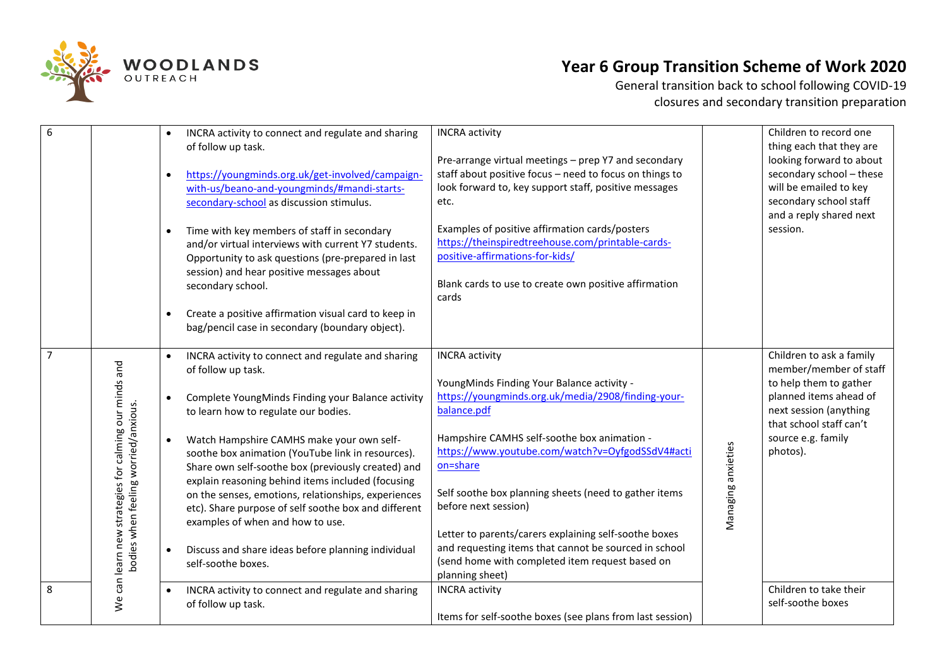

| 6              |                                                                                               | $\bullet$<br>$\bullet$<br>$\bullet$<br>$\bullet$ | INCRA activity to connect and regulate and sharing<br>of follow up task.<br>https://youngminds.org.uk/get-involved/campaign-<br>with-us/beano-and-youngminds/#mandi-starts-<br>secondary-school as discussion stimulus.<br>Time with key members of staff in secondary<br>and/or virtual interviews with current Y7 students.<br>Opportunity to ask questions (pre-prepared in last<br>session) and hear positive messages about<br>secondary school.<br>Create a positive affirmation visual card to keep in<br>bag/pencil case in secondary (boundary object).                                                  | <b>INCRA</b> activity<br>Pre-arrange virtual meetings - prep Y7 and secondary<br>staff about positive focus - need to focus on things to<br>look forward to, key support staff, positive messages<br>etc.<br>Examples of positive affirmation cards/posters<br>https://theinspiredtreehouse.com/printable-cards-<br>positive-affirmations-for-kids/<br>Blank cards to use to create own positive affirmation<br>cards                                                                                                            |                    | Children to record one<br>thing each that they are<br>looking forward to about<br>secondary school - these<br>will be emailed to key<br>secondary school staff<br>and a reply shared next<br>session. |
|----------------|-----------------------------------------------------------------------------------------------|--------------------------------------------------|-------------------------------------------------------------------------------------------------------------------------------------------------------------------------------------------------------------------------------------------------------------------------------------------------------------------------------------------------------------------------------------------------------------------------------------------------------------------------------------------------------------------------------------------------------------------------------------------------------------------|----------------------------------------------------------------------------------------------------------------------------------------------------------------------------------------------------------------------------------------------------------------------------------------------------------------------------------------------------------------------------------------------------------------------------------------------------------------------------------------------------------------------------------|--------------------|-------------------------------------------------------------------------------------------------------------------------------------------------------------------------------------------------------|
| $\overline{7}$ | We can learn new strategies for calming our minds and<br>bodies when feeling worried/anxious. | $\bullet$<br>$\bullet$                           | INCRA activity to connect and regulate and sharing<br>of follow up task.<br>Complete YoungMinds Finding your Balance activity<br>to learn how to regulate our bodies.<br>Watch Hampshire CAMHS make your own self-<br>soothe box animation (YouTube link in resources).<br>Share own self-soothe box (previously created) and<br>explain reasoning behind items included (focusing<br>on the senses, emotions, relationships, experiences<br>etc). Share purpose of self soothe box and different<br>examples of when and how to use.<br>Discuss and share ideas before planning individual<br>self-soothe boxes. | <b>INCRA</b> activity<br>YoungMinds Finding Your Balance activity -<br>https://youngminds.org.uk/media/2908/finding-your-<br>balance.pdf<br>Hampshire CAMHS self-soothe box animation -<br>https://www.youtube.com/watch?v=OyfgodSSdV4#acti<br>on=share<br>Self soothe box planning sheets (need to gather items<br>before next session)<br>Letter to parents/carers explaining self-soothe boxes<br>and requesting items that cannot be sourced in school<br>(send home with completed item request based on<br>planning sheet) | Managing anxieties | Children to ask a family<br>member/member of staff<br>to help them to gather<br>planned items ahead of<br>next session (anything<br>that school staff can't<br>source e.g. family<br>photos).         |
| 8              |                                                                                               |                                                  | INCRA activity to connect and regulate and sharing<br>of follow up task.                                                                                                                                                                                                                                                                                                                                                                                                                                                                                                                                          | <b>INCRA</b> activity<br>Items for self-soothe boxes (see plans from last session)                                                                                                                                                                                                                                                                                                                                                                                                                                               |                    | Children to take their<br>self-soothe boxes                                                                                                                                                           |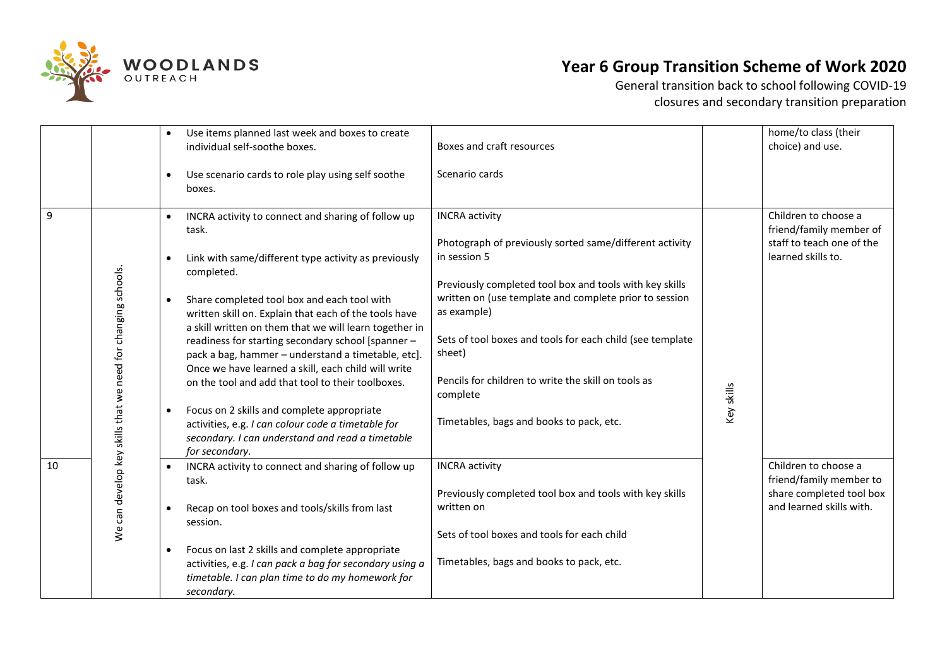

|    |                                                             | $\bullet$                           | Use items planned last week and boxes to create<br>individual self-soothe boxes.                                                                                                                                                                                                                                                                                                                                                                                                                                                                                          | Boxes and craft resources                                                                                                                                                                                                                                                                                                                                                                                                  |            | home/to class (their<br>choice) and use.                                                                |
|----|-------------------------------------------------------------|-------------------------------------|---------------------------------------------------------------------------------------------------------------------------------------------------------------------------------------------------------------------------------------------------------------------------------------------------------------------------------------------------------------------------------------------------------------------------------------------------------------------------------------------------------------------------------------------------------------------------|----------------------------------------------------------------------------------------------------------------------------------------------------------------------------------------------------------------------------------------------------------------------------------------------------------------------------------------------------------------------------------------------------------------------------|------------|---------------------------------------------------------------------------------------------------------|
|    |                                                             | $\bullet$                           | Use scenario cards to role play using self soothe<br>boxes.                                                                                                                                                                                                                                                                                                                                                                                                                                                                                                               | Scenario cards                                                                                                                                                                                                                                                                                                                                                                                                             |            |                                                                                                         |
| 9  | We can develop key skills that we need for changing schools | $\bullet$<br>$\bullet$<br>$\bullet$ | INCRA activity to connect and sharing of follow up<br>task.<br>Link with same/different type activity as previously<br>completed.<br>Share completed tool box and each tool with<br>written skill on. Explain that each of the tools have<br>a skill written on them that we will learn together in<br>readiness for starting secondary school [spanner -<br>pack a bag, hammer - understand a timetable, etc].<br>Once we have learned a skill, each child will write<br>on the tool and add that tool to their toolboxes.<br>Focus on 2 skills and complete appropriate | <b>INCRA</b> activity<br>Photograph of previously sorted same/different activity<br>in session 5<br>Previously completed tool box and tools with key skills<br>written on (use template and complete prior to session<br>as example)<br>Sets of tool boxes and tools for each child (see template<br>sheet)<br>Pencils for children to write the skill on tools as<br>complete<br>Timetables, bags and books to pack, etc. | Key skills | Children to choose a<br>friend/family member of<br>staff to teach one of the<br>learned skills to.      |
|    |                                                             |                                     | activities, e.g. I can colour code a timetable for<br>secondary. I can understand and read a timetable<br>for secondary.                                                                                                                                                                                                                                                                                                                                                                                                                                                  |                                                                                                                                                                                                                                                                                                                                                                                                                            |            |                                                                                                         |
| 10 |                                                             | $\bullet$                           | INCRA activity to connect and sharing of follow up<br>task.<br>Recap on tool boxes and tools/skills from last<br>session.<br>Focus on last 2 skills and complete appropriate<br>activities, e.g. I can pack a bag for secondary using a<br>timetable. I can plan time to do my homework for                                                                                                                                                                                                                                                                               | <b>INCRA</b> activity<br>Previously completed tool box and tools with key skills<br>written on<br>Sets of tool boxes and tools for each child<br>Timetables, bags and books to pack, etc.                                                                                                                                                                                                                                  |            | Children to choose a<br>friend/family member to<br>share completed tool box<br>and learned skills with. |
|    |                                                             |                                     | secondary.                                                                                                                                                                                                                                                                                                                                                                                                                                                                                                                                                                |                                                                                                                                                                                                                                                                                                                                                                                                                            |            |                                                                                                         |